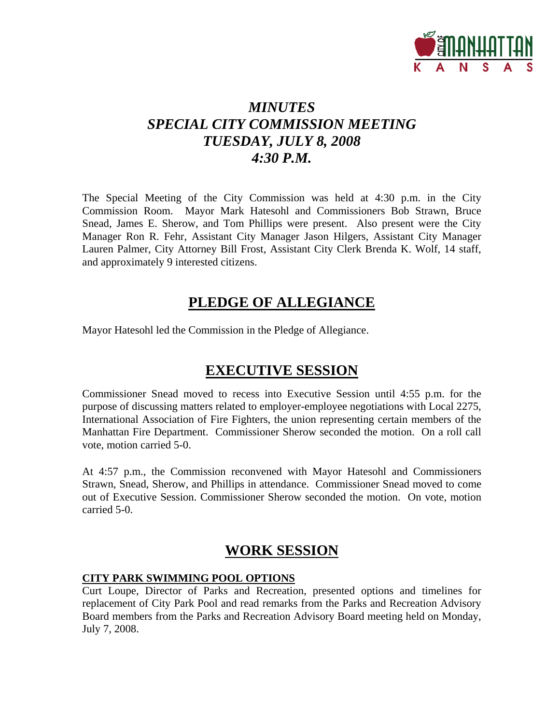

# *MINUTES SPECIAL CITY COMMISSION MEETING TUESDAY, JULY 8, 2008 4:30 P.M.*

The Special Meeting of the City Commission was held at 4:30 p.m. in the City Commission Room. Mayor Mark Hatesohl and Commissioners Bob Strawn, Bruce Snead, James E. Sherow, and Tom Phillips were present. Also present were the City Manager Ron R. Fehr, Assistant City Manager Jason Hilgers, Assistant City Manager Lauren Palmer, City Attorney Bill Frost, Assistant City Clerk Brenda K. Wolf, 14 staff, and approximately 9 interested citizens.

### **PLEDGE OF ALLEGIANCE**

Mayor Hatesohl led the Commission in the Pledge of Allegiance.

### **EXECUTIVE SESSION**

Commissioner Snead moved to recess into Executive Session until 4:55 p.m. for the purpose of discussing matters related to employer-employee negotiations with Local 2275, International Association of Fire Fighters, the union representing certain members of the Manhattan Fire Department. Commissioner Sherow seconded the motion. On a roll call vote, motion carried 5-0.

At 4:57 p.m., the Commission reconvened with Mayor Hatesohl and Commissioners Strawn, Snead, Sherow, and Phillips in attendance. Commissioner Snead moved to come out of Executive Session. Commissioner Sherow seconded the motion. On vote, motion carried 5-0.

# **WORK SESSION**

### **CITY PARK SWIMMING POOL OPTIONS**

Curt Loupe, Director of Parks and Recreation, presented options and timelines for replacement of City Park Pool and read remarks from the Parks and Recreation Advisory Board members from the Parks and Recreation Advisory Board meeting held on Monday, July 7, 2008.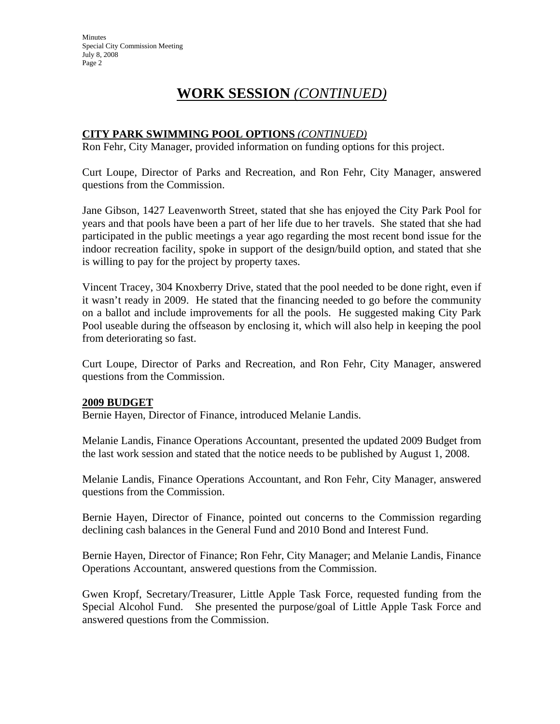# **WORK SESSION** *(CONTINUED)*

### **CITY PARK SWIMMING POOL OPTIONS** *(CONTINUED)*

Ron Fehr, City Manager, provided information on funding options for this project.

Curt Loupe, Director of Parks and Recreation, and Ron Fehr, City Manager, answered questions from the Commission.

Jane Gibson, 1427 Leavenworth Street, stated that she has enjoyed the City Park Pool for years and that pools have been a part of her life due to her travels. She stated that she had participated in the public meetings a year ago regarding the most recent bond issue for the indoor recreation facility, spoke in support of the design/build option, and stated that she is willing to pay for the project by property taxes.

Vincent Tracey, 304 Knoxberry Drive, stated that the pool needed to be done right, even if it wasn't ready in 2009. He stated that the financing needed to go before the community on a ballot and include improvements for all the pools. He suggested making City Park Pool useable during the offseason by enclosing it, which will also help in keeping the pool from deteriorating so fast.

Curt Loupe, Director of Parks and Recreation, and Ron Fehr, City Manager, answered questions from the Commission.

### **2009 BUDGET**

Bernie Hayen, Director of Finance, introduced Melanie Landis.

Melanie Landis, Finance Operations Accountant, presented the updated 2009 Budget from the last work session and stated that the notice needs to be published by August 1, 2008.

Melanie Landis, Finance Operations Accountant, and Ron Fehr, City Manager, answered questions from the Commission.

Bernie Hayen, Director of Finance, pointed out concerns to the Commission regarding declining cash balances in the General Fund and 2010 Bond and Interest Fund.

Bernie Hayen, Director of Finance; Ron Fehr, City Manager; and Melanie Landis, Finance Operations Accountant, answered questions from the Commission.

Gwen Kropf, Secretary/Treasurer, Little Apple Task Force, requested funding from the Special Alcohol Fund. She presented the purpose/goal of Little Apple Task Force and answered questions from the Commission.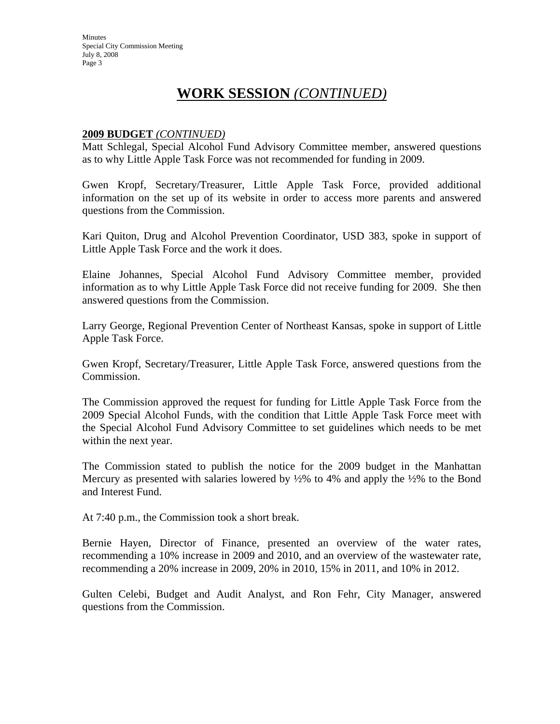# **WORK SESSION** *(CONTINUED)*

#### **2009 BUDGET** *(CONTINUED)*

Matt Schlegal, Special Alcohol Fund Advisory Committee member, answered questions as to why Little Apple Task Force was not recommended for funding in 2009.

Gwen Kropf, Secretary/Treasurer, Little Apple Task Force, provided additional information on the set up of its website in order to access more parents and answered questions from the Commission.

Kari Quiton, Drug and Alcohol Prevention Coordinator, USD 383, spoke in support of Little Apple Task Force and the work it does.

Elaine Johannes, Special Alcohol Fund Advisory Committee member, provided information as to why Little Apple Task Force did not receive funding for 2009. She then answered questions from the Commission.

Larry George, Regional Prevention Center of Northeast Kansas, spoke in support of Little Apple Task Force.

Gwen Kropf, Secretary/Treasurer, Little Apple Task Force, answered questions from the Commission.

The Commission approved the request for funding for Little Apple Task Force from the 2009 Special Alcohol Funds, with the condition that Little Apple Task Force meet with the Special Alcohol Fund Advisory Committee to set guidelines which needs to be met within the next year.

The Commission stated to publish the notice for the 2009 budget in the Manhattan Mercury as presented with salaries lowered by  $\frac{1}{2}\%$  to 4% and apply the  $\frac{1}{2}\%$  to the Bond and Interest Fund.

At 7:40 p.m., the Commission took a short break.

Bernie Hayen, Director of Finance, presented an overview of the water rates, recommending a 10% increase in 2009 and 2010, and an overview of the wastewater rate, recommending a 20% increase in 2009, 20% in 2010, 15% in 2011, and 10% in 2012.

Gulten Celebi, Budget and Audit Analyst, and Ron Fehr, City Manager, answered questions from the Commission.